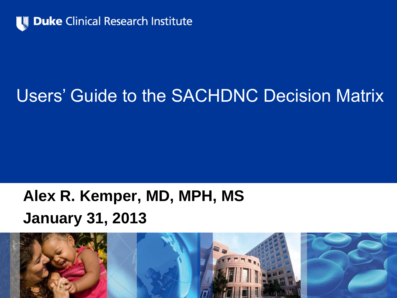

# Users' Guide to the SACHDNC Decision Matrix

### **Alex R. Kemper, MD, MPH, MS January 31, 2013**

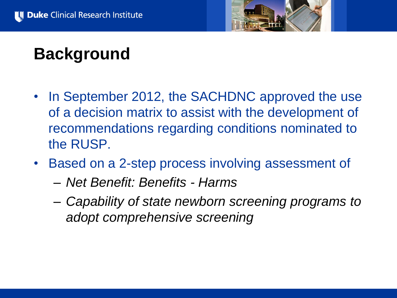

## **Background**

- In September 2012, the SACHDNC approved the use of a decision matrix to assist with the development of recommendations regarding conditions nominated to the RUSP.
- Based on a 2-step process involving assessment of
	- *Net Benefit: Benefits - Harms*
	- *Capability of state newborn screening programs to adopt comprehensive screening*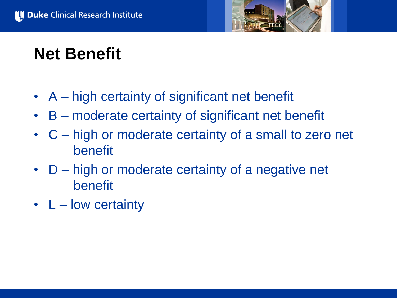

## **Net Benefit**

- A high certainty of significant net benefit
- B moderate certainty of significant net benefit
- C high or moderate certainty of a small to zero net benefit
- D high or moderate certainty of a negative net benefit
- L low certainty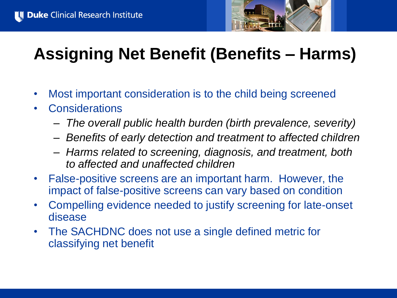

# **Assigning Net Benefit (Benefits – Harms)**

- Most important consideration is to the child being screened
- Considerations
	- *The overall public health burden (birth prevalence, severity)*
	- *Benefits of early detection and treatment to affected children*
	- *Harms related to screening, diagnosis, and treatment, both to affected and unaffected children*
- False-positive screens are an important harm. However, the impact of false-positive screens can vary based on condition
- Compelling evidence needed to justify screening for late-onset disease
- The SACHDNC does not use a single defined metric for classifying net benefit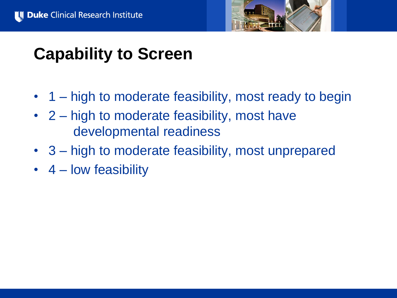

### **Capability to Screen**

- 1 high to moderate feasibility, most ready to begin
- 2 high to moderate feasibility, most have developmental readiness
- 3 high to moderate feasibility, most unprepared
- 4 low feasibility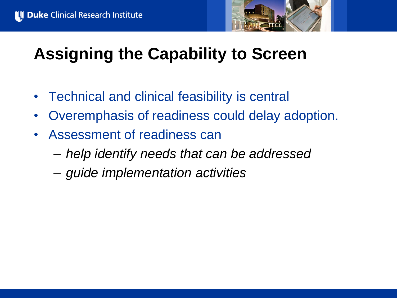

# **Assigning the Capability to Screen**

- Technical and clinical feasibility is central
- Overemphasis of readiness could delay adoption.
- Assessment of readiness can
	- *help identify needs that can be addressed*
	- *guide implementation activities*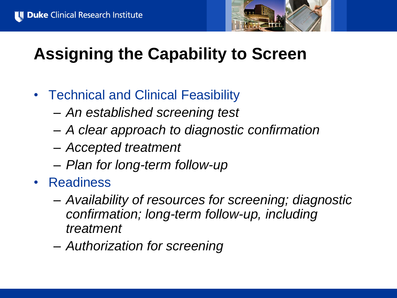

# **Assigning the Capability to Screen**

- Technical and Clinical Feasibility
	- *An established screening test*
	- *A clear approach to diagnostic confirmation*
	- *Accepted treatment*
	- *Plan for long-term follow-up*
- Readiness
	- *Availability of resources for screening; diagnostic confirmation; long-term follow-up, including treatment*
	- *Authorization for screening*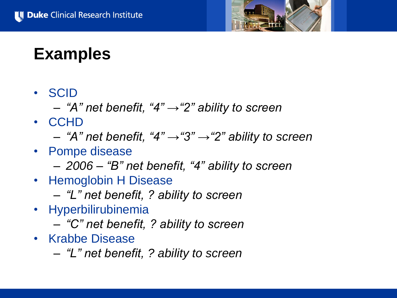

#### **Examples**

- SCID
	- *"A" net benefit, "4" →"2" ability to screen*
- CCHD
	- *"A" net benefit, "4" →"3" →"2" ability to screen*
- Pompe disease
	- *2006 – "B" net benefit, "4" ability to screen*
- Hemoglobin H Disease
	- *"L" net benefit, ? ability to screen*
- Hyperbilirubinemia
	- *"C" net benefit, ? ability to screen*
- Krabbe Disease
	- *"L" net benefit, ? ability to screen*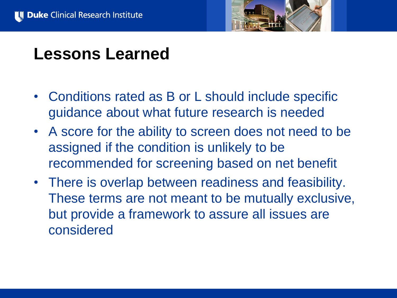

### **Lessons Learned**

- Conditions rated as B or L should include specific guidance about what future research is needed
- A score for the ability to screen does not need to be assigned if the condition is unlikely to be recommended for screening based on net benefit
- There is overlap between readiness and feasibility. These terms are not meant to be mutually exclusive, but provide a framework to assure all issues are considered